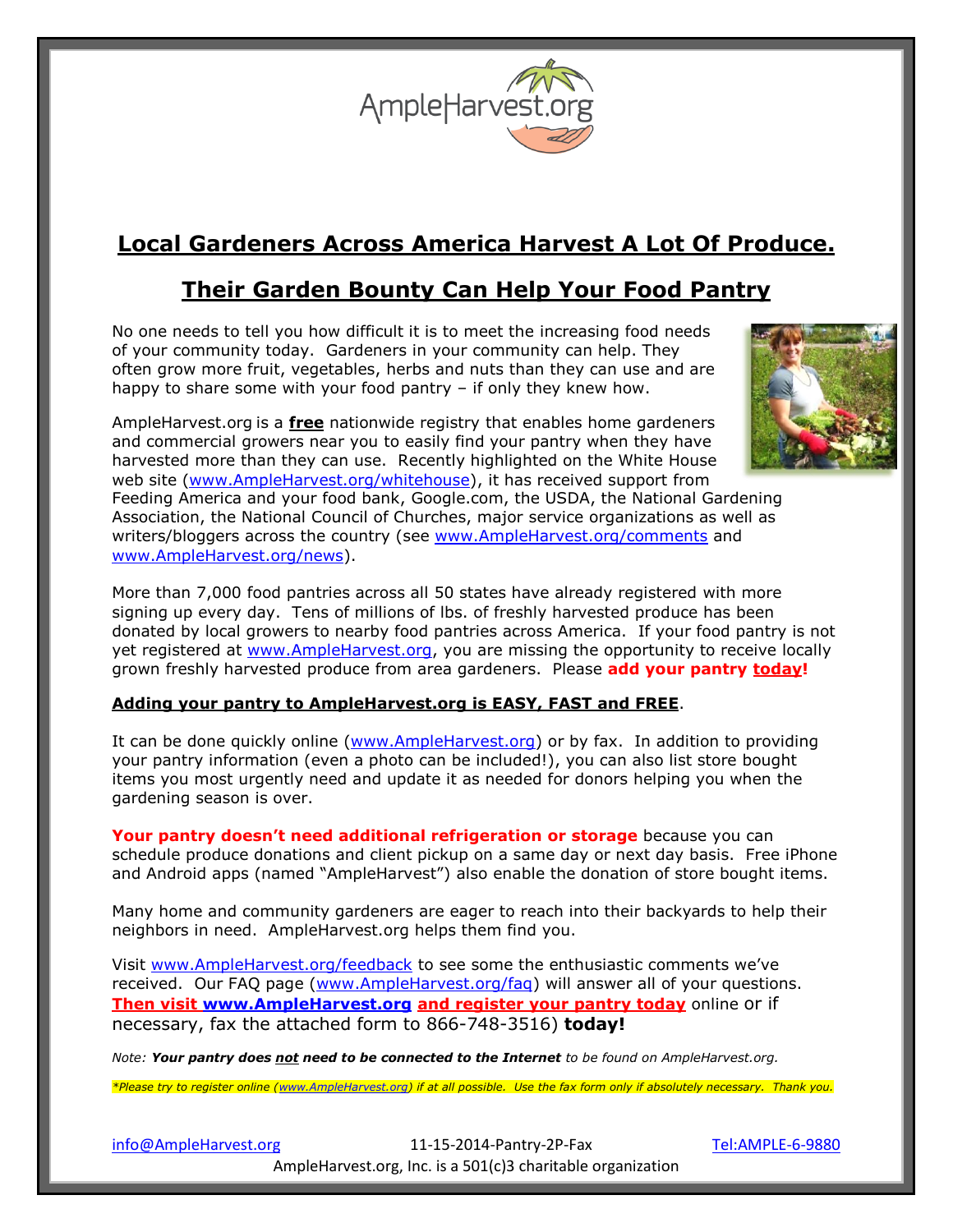

## **Local Gardeners Across America Harvest A Lot Of Produce.**

### **Their Garden Bounty Can Help Your Food Pantry**

No one needs to tell you how difficult it is to meet the increasing food needs of your community today. Gardeners in your community can help. They often grow more fruit, vegetables, herbs and nuts than they can use and are happy to share some with your food pantry – if only they knew how.

AmpleHarvest.org is a **free** nationwide registry that enables home gardeners and commercial growers near you to easily find your pantry when they have harvested more than they can use. Recently highlighted on the White House web site [\(www.AmpleHarvest.org/whitehouse\)](http://www.ampleharvest.org/whitehouse), it has received support from



Feeding America and your food bank, Google.com, the USDA, the National Gardening Association, the National Council of Churches, major service organizations as well as writers/bloggers across the country (see [www.AmpleHarvest.org/comments](http://www.ampleharvest.org/comments) and [www.AmpleHarvest.org/news\)](http://www.ampleharvest.org/news).

More than 7,000 food pantries across all 50 states have already registered with more signing up every day. Tens of millions of lbs. of freshly harvested produce has been donated by local growers to nearby food pantries across America. If your food pantry is not yet registered at [www.AmpleHarvest.org,](http://www.ampleharvest.org/) you are missing the opportunity to receive locally grown freshly harvested produce from area gardeners. Please **add your pantry today!**

#### **Adding your pantry to AmpleHarvest.org is EASY, FAST and FREE**.

It can be done quickly online [\(www.AmpleHarvest.org\)](http://www.ampleharvest.org/) or by fax. In addition to providing your pantry information (even a photo can be included!), you can also list store bought items you most urgently need and update it as needed for donors helping you when the gardening season is over.

**Your pantry doesn't need additional refrigeration or storage** because you can schedule produce donations and client pickup on a same day or next day basis. Free iPhone and Android apps (named "AmpleHarvest") also enable the donation of store bought items.

Many home and community gardeners are eager to reach into their backyards to help their neighbors in need. AmpleHarvest.org helps them find you.

Visit [www.AmpleHarvest.org/feedback](http://www.ampleharvest.org/feedback) to see some the enthusiastic comments we've received. Our FAQ page [\(www.AmpleHarvest.org/faq\)](http://www.ampleharvest.org/faq) will answer all of your questions. **Then visit [www.AmpleHarvest.org](http://www.ampleharvest.org/) and register your pantry today** online or if necessary, fax the attached form to 866-748-3516) **today!**

*Note: Your pantry does not need to be connected to the Internet to be found on AmpleHarvest.org.* 

*\*Please try to register online [\(www.AmpleHarvest.org\)](http://www.ampleharvest.org/) if at all possible. Use the fax form only if absolutely necessary. Thank you.*